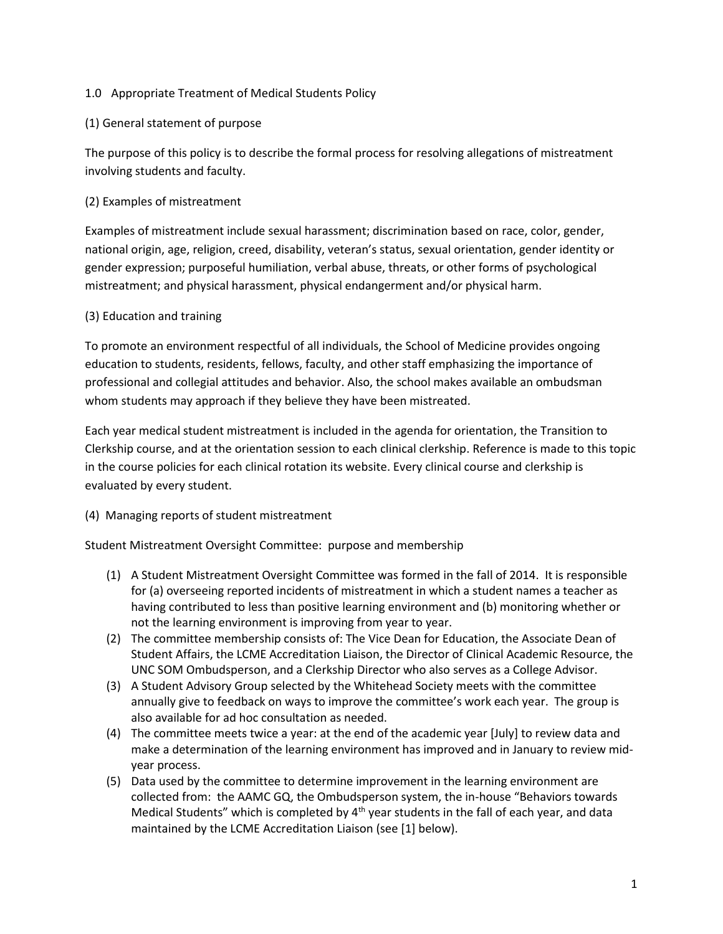#### 1.0 Appropriate Treatment of Medical Students Policy

#### (1) General statement of purpose

The purpose of this policy is to describe the formal process for resolving allegations of mistreatment involving students and faculty.

#### (2) Examples of mistreatment

Examples of mistreatment include sexual harassment; discrimination based on race, color, gender, national origin, age, religion, creed, disability, veteran's status, sexual orientation, gender identity or gender expression; purposeful humiliation, verbal abuse, threats, or other forms of psychological mistreatment; and physical harassment, physical endangerment and/or physical harm.

#### (3) Education and training

To promote an environment respectful of all individuals, the School of Medicine provides ongoing education to students, residents, fellows, faculty, and other staff emphasizing the importance of professional and collegial attitudes and behavior. Also, the school makes available an ombudsman whom students may approach if they believe they have been mistreated.

Each year medical student mistreatment is included in the agenda for orientation, the Transition to Clerkship course, and at the orientation session to each clinical clerkship. Reference is made to this topic in the course policies for each clinical rotation its website. Every clinical course and clerkship is evaluated by every student.

## (4) Managing reports of student mistreatment

Student Mistreatment Oversight Committee: purpose and membership

- (1) A Student Mistreatment Oversight Committee was formed in the fall of 2014. It is responsible for (a) overseeing reported incidents of mistreatment in which a student names a teacher as having contributed to less than positive learning environment and (b) monitoring whether or not the learning environment is improving from year to year.
- (2) The committee membership consists of: The Vice Dean for Education, the Associate Dean of Student Affairs, the LCME Accreditation Liaison, the Director of Clinical Academic Resource, the UNC SOM Ombudsperson, and a Clerkship Director who also serves as a College Advisor.
- (3) A Student Advisory Group selected by the Whitehead Society meets with the committee annually give to feedback on ways to improve the committee's work each year. The group is also available for ad hoc consultation as needed.
- (4) The committee meets twice a year: at the end of the academic year [July] to review data and make a determination of the learning environment has improved and in January to review midyear process.
- (5) Data used by the committee to determine improvement in the learning environment are collected from: the AAMC GQ, the Ombudsperson system, the in-house "Behaviors towards Medical Students" which is completed by  $4<sup>th</sup>$  year students in the fall of each year, and data maintained by the LCME Accreditation Liaison (see [1] below).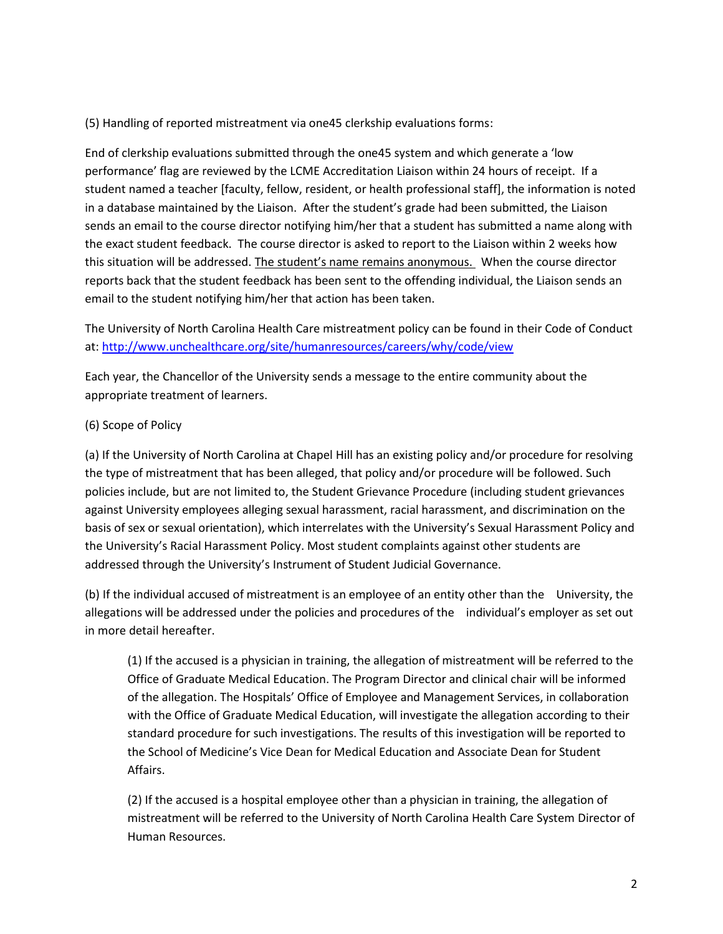(5) Handling of reported mistreatment via one45 clerkship evaluations forms:

End of clerkship evaluations submitted through the one45 system and which generate a 'low performance' flag are reviewed by the LCME Accreditation Liaison within 24 hours of receipt. If a student named a teacher [faculty, fellow, resident, or health professional staff], the information is noted in a database maintained by the Liaison. After the student's grade had been submitted, the Liaison sends an email to the course director notifying him/her that a student has submitted a name along with the exact student feedback. The course director is asked to report to the Liaison within 2 weeks how this situation will be addressed. The student's name remains anonymous. When the course director reports back that the student feedback has been sent to the offending individual, the Liaison sends an email to the student notifying him/her that action has been taken.

The University of North Carolina Health Care mistreatment policy can be found in their Code of Conduct at:<http://www.unchealthcare.org/site/humanresources/careers/why/code/view>

Each year, the Chancellor of the University sends a message to the entire community about the appropriate treatment of learners.

## (6) Scope of Policy

(a) If the University of North Carolina at Chapel Hill has an existing policy and/or procedure for resolving the type of mistreatment that has been alleged, that policy and/or procedure will be followed. Such policies include, but are not limited to, the Student Grievance Procedure (including student grievances against University employees alleging sexual harassment, racial harassment, and discrimination on the basis of sex or sexual orientation), which interrelates with the University's Sexual Harassment Policy and the University's Racial Harassment Policy. Most student complaints against other students are addressed through the University's Instrument of Student Judicial Governance.

(b) If the individual accused of mistreatment is an employee of an entity other than the University, the allegations will be addressed under the policies and procedures of the individual's employer as set out in more detail hereafter.

(1) If the accused is a physician in training, the allegation of mistreatment will be referred to the Office of Graduate Medical Education. The Program Director and clinical chair will be informed of the allegation. The Hospitals' Office of Employee and Management Services, in collaboration with the Office of Graduate Medical Education, will investigate the allegation according to their standard procedure for such investigations. The results of this investigation will be reported to the School of Medicine's Vice Dean for Medical Education and Associate Dean for Student Affairs.

(2) If the accused is a hospital employee other than a physician in training, the allegation of mistreatment will be referred to the University of North Carolina Health Care System Director of Human Resources.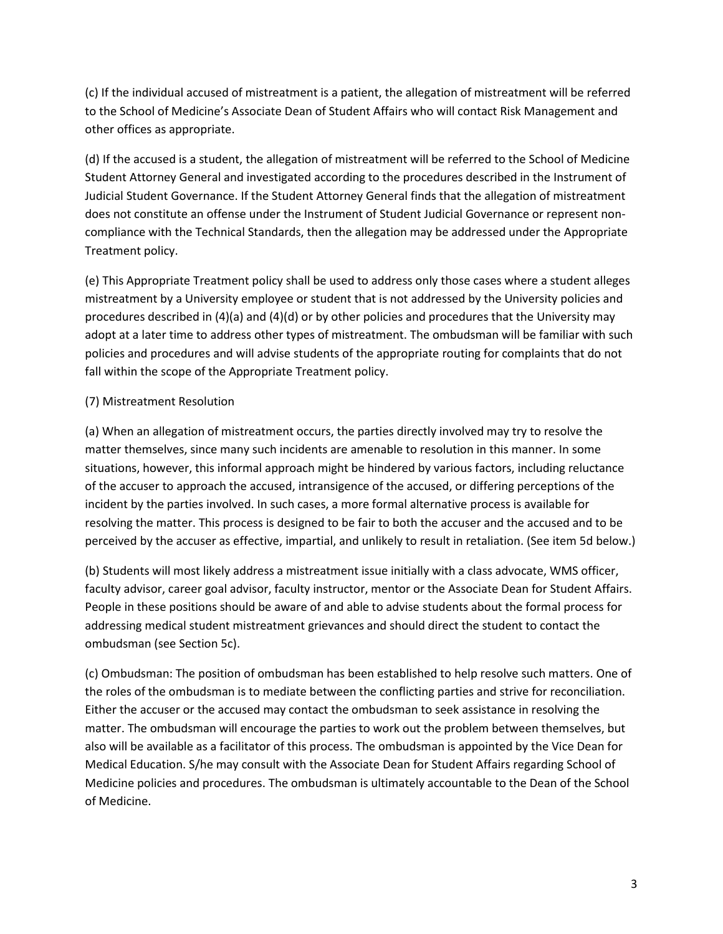(c) If the individual accused of mistreatment is a patient, the allegation of mistreatment will be referred to the School of Medicine's Associate Dean of Student Affairs who will contact Risk Management and other offices as appropriate.

(d) If the accused is a student, the allegation of mistreatment will be referred to the School of Medicine Student Attorney General and investigated according to the procedures described in the Instrument of Judicial Student Governance. If the Student Attorney General finds that the allegation of mistreatment does not constitute an offense under the Instrument of Student Judicial Governance or represent noncompliance with the Technical Standards, then the allegation may be addressed under the Appropriate Treatment policy.

(e) This Appropriate Treatment policy shall be used to address only those cases where a student alleges mistreatment by a University employee or student that is not addressed by the University policies and procedures described in (4)(a) and (4)(d) or by other policies and procedures that the University may adopt at a later time to address other types of mistreatment. The ombudsman will be familiar with such policies and procedures and will advise students of the appropriate routing for complaints that do not fall within the scope of the Appropriate Treatment policy.

## (7) Mistreatment Resolution

(a) When an allegation of mistreatment occurs, the parties directly involved may try to resolve the matter themselves, since many such incidents are amenable to resolution in this manner. In some situations, however, this informal approach might be hindered by various factors, including reluctance of the accuser to approach the accused, intransigence of the accused, or differing perceptions of the incident by the parties involved. In such cases, a more formal alternative process is available for resolving the matter. This process is designed to be fair to both the accuser and the accused and to be perceived by the accuser as effective, impartial, and unlikely to result in retaliation. (See item 5d below.)

(b) Students will most likely address a mistreatment issue initially with a class advocate, WMS officer, faculty advisor, career goal advisor, faculty instructor, mentor or the Associate Dean for Student Affairs. People in these positions should be aware of and able to advise students about the formal process for addressing medical student mistreatment grievances and should direct the student to contact the ombudsman (see Section 5c).

(c) Ombudsman: The position of ombudsman has been established to help resolve such matters. One of the roles of the ombudsman is to mediate between the conflicting parties and strive for reconciliation. Either the accuser or the accused may contact the ombudsman to seek assistance in resolving the matter. The ombudsman will encourage the parties to work out the problem between themselves, but also will be available as a facilitator of this process. The ombudsman is appointed by the Vice Dean for Medical Education. S/he may consult with the Associate Dean for Student Affairs regarding School of Medicine policies and procedures. The ombudsman is ultimately accountable to the Dean of the School of Medicine.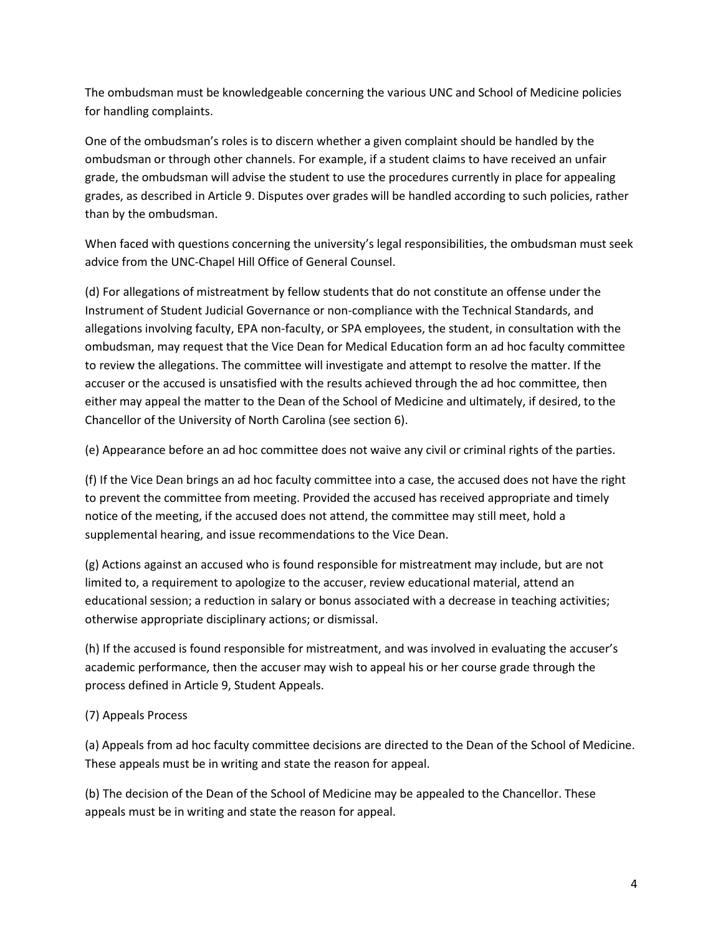The ombudsman must be knowledgeable concerning the various UNC and School of Medicine policies for handling complaints.

One of the ombudsman's roles is to discern whether a given complaint should be handled by the ombudsman or through other channels. For example, if a student claims to have received an unfair grade, the ombudsman will advise the student to use the procedures currently in place for appealing grades, as described in Article 9. Disputes over grades will be handled according to such policies, rather than by the ombudsman.

When faced with questions concerning the university's legal responsibilities, the ombudsman must seek advice from the UNC-Chapel Hill Office of General Counsel.

(d) For allegations of mistreatment by fellow students that do not constitute an offense under the Instrument of Student Judicial Governance or non-compliance with the Technical Standards, and allegations involving faculty, EPA non-faculty, or SPA employees, the student, in consultation with the ombudsman, may request that the Vice Dean for Medical Education form an ad hoc faculty committee to review the allegations. The committee will investigate and attempt to resolve the matter. If the accuser or the accused is unsatisfied with the results achieved through the ad hoc committee, then either may appeal the matter to the Dean of the School of Medicine and ultimately, if desired, to the Chancellor of the University of North Carolina (see section 6).

(e) Appearance before an ad hoc committee does not waive any civil or criminal rights of the parties.

(f) If the Vice Dean brings an ad hoc faculty committee into a case, the accused does not have the right to prevent the committee from meeting. Provided the accused has received appropriate and timely notice of the meeting, if the accused does not attend, the committee may still meet, hold a supplemental hearing, and issue recommendations to the Vice Dean.

(g) Actions against an accused who is found responsible for mistreatment may include, but are not limited to, a requirement to apologize to the accuser, review educational material, attend an educational session; a reduction in salary or bonus associated with a decrease in teaching activities; otherwise appropriate disciplinary actions; or dismissal.

(h) If the accused is found responsible for mistreatment, and was involved in evaluating the accuser's academic performance, then the accuser may wish to appeal his or her course grade through the process defined in Article 9, Student Appeals.

# (7) Appeals Process

(a) Appeals from ad hoc faculty committee decisions are directed to the Dean of the School of Medicine. These appeals must be in writing and state the reason for appeal.

(b) The decision of the Dean of the School of Medicine may be appealed to the Chancellor. These appeals must be in writing and state the reason for appeal.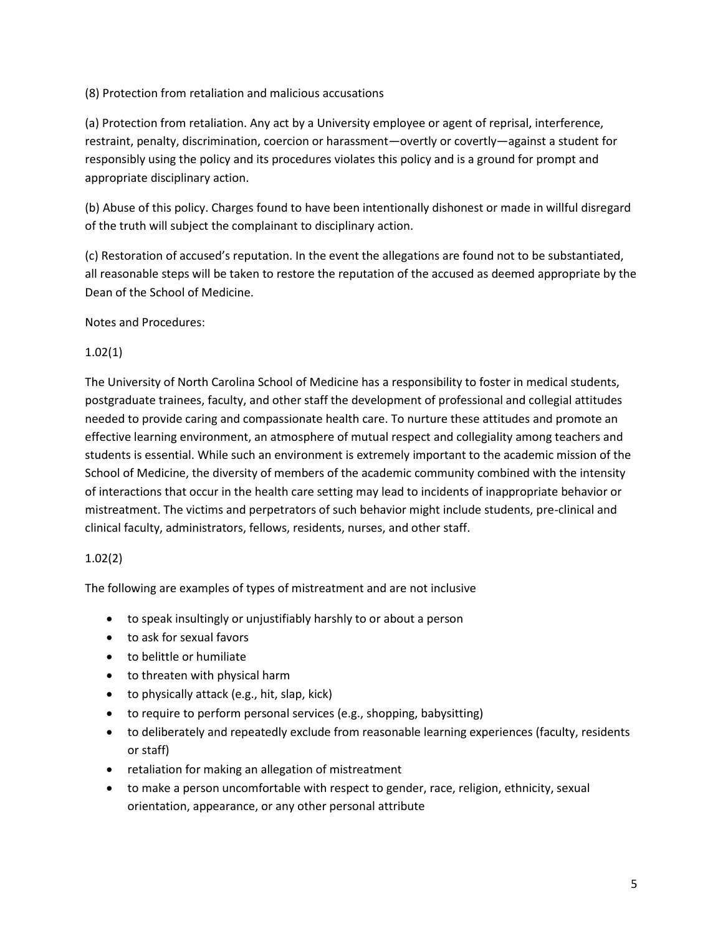(8) Protection from retaliation and malicious accusations

(a) Protection from retaliation. Any act by a University employee or agent of reprisal, interference, restraint, penalty, discrimination, coercion or harassment—overtly or covertly—against a student for responsibly using the policy and its procedures violates this policy and is a ground for prompt and appropriate disciplinary action.

(b) Abuse of this policy. Charges found to have been intentionally dishonest or made in willful disregard of the truth will subject the complainant to disciplinary action.

(c) Restoration of accused's reputation. In the event the allegations are found not to be substantiated, all reasonable steps will be taken to restore the reputation of the accused as deemed appropriate by the Dean of the School of Medicine.

Notes and Procedures:

## 1.02(1)

The University of North Carolina School of Medicine has a responsibility to foster in medical students, postgraduate trainees, faculty, and other staff the development of professional and collegial attitudes needed to provide caring and compassionate health care. To nurture these attitudes and promote an effective learning environment, an atmosphere of mutual respect and collegiality among teachers and students is essential. While such an environment is extremely important to the academic mission of the School of Medicine, the diversity of members of the academic community combined with the intensity of interactions that occur in the health care setting may lead to incidents of inappropriate behavior or mistreatment. The victims and perpetrators of such behavior might include students, pre-clinical and clinical faculty, administrators, fellows, residents, nurses, and other staff.

## 1.02(2)

The following are examples of types of mistreatment and are not inclusive

- to speak insultingly or unjustifiably harshly to or about a person
- to ask for sexual favors
- to belittle or humiliate
- to threaten with physical harm
- to physically attack (e.g., hit, slap, kick)
- to require to perform personal services (e.g., shopping, babysitting)
- to deliberately and repeatedly exclude from reasonable learning experiences (faculty, residents or staff)
- retaliation for making an allegation of mistreatment
- to make a person uncomfortable with respect to gender, race, religion, ethnicity, sexual orientation, appearance, or any other personal attribute